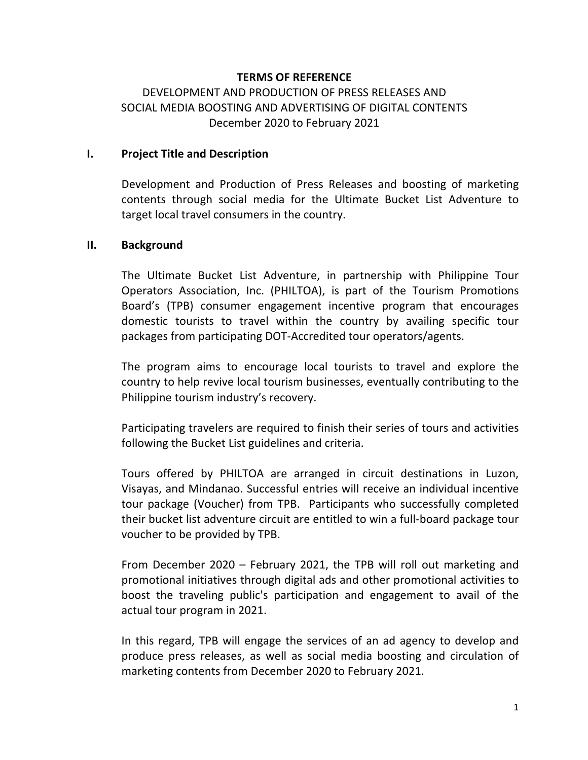### **TERMS OF REFERENCE**

# DEVELOPMENT AND PRODUCTION OF PRESS RELEASES AND SOCIAL MEDIA BOOSTING AND ADVERTISING OF DIGITAL CONTENTS December 2020 to February 2021

#### **I.** Project Title and Description

Development and Production of Press Releases and boosting of marketing contents through social media for the Ultimate Bucket List Adventure to target local travel consumers in the country.

#### **II. Background**

The Ultimate Bucket List Adventure, in partnership with Philippine Tour Operators Association, Inc. (PHILTOA), is part of the Tourism Promotions Board's (TPB) consumer engagement incentive program that encourages domestic tourists to travel within the country by availing specific tour packages from participating DOT-Accredited tour operators/agents.

The program aims to encourage local tourists to travel and explore the country to help revive local tourism businesses, eventually contributing to the Philippine tourism industry's recovery.

Participating travelers are required to finish their series of tours and activities following the Bucket List guidelines and criteria.

Tours offered by PHILTOA are arranged in circuit destinations in Luzon, Visayas, and Mindanao. Successful entries will receive an individual incentive tour package (Voucher) from TPB. Participants who successfully completed their bucket list adventure circuit are entitled to win a full-board package tour voucher to be provided by TPB.

From December  $2020$  – February 2021, the TPB will roll out marketing and promotional initiatives through digital ads and other promotional activities to boost the traveling public's participation and engagement to avail of the actual tour program in 2021.

In this regard, TPB will engage the services of an ad agency to develop and produce press releases, as well as social media boosting and circulation of marketing contents from December 2020 to February 2021.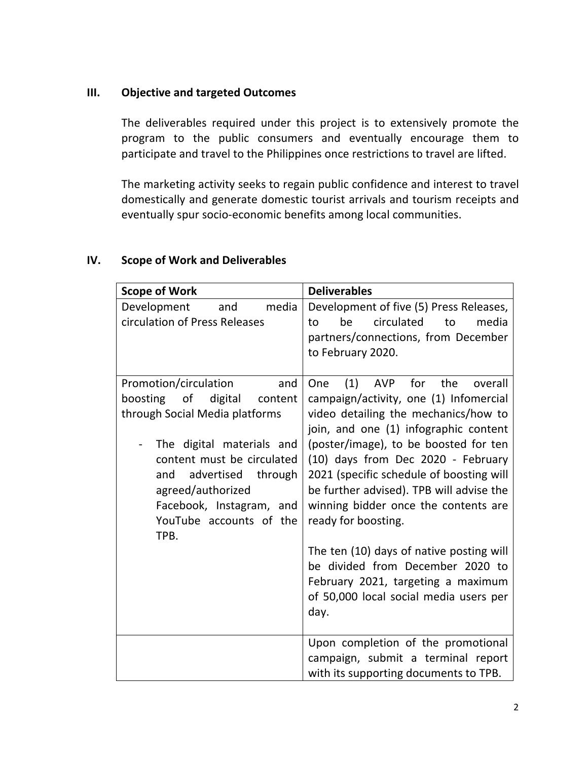## **III.** Objective and targeted Outcomes

The deliverables required under this project is to extensively promote the program to the public consumers and eventually encourage them to participate and travel to the Philippines once restrictions to travel are lifted.

The marketing activity seeks to regain public confidence and interest to travel domestically and generate domestic tourist arrivals and tourism receipts and eventually spur socio-economic benefits among local communities.

# **IV.** Scope of Work and Deliverables

| <b>Scope of Work</b>                                                                                                                                                                                                                                                                                 | <b>Deliverables</b>                                                                                                                                                                                                                                                                                                                                                                                                                                                                                                                                                                 |
|------------------------------------------------------------------------------------------------------------------------------------------------------------------------------------------------------------------------------------------------------------------------------------------------------|-------------------------------------------------------------------------------------------------------------------------------------------------------------------------------------------------------------------------------------------------------------------------------------------------------------------------------------------------------------------------------------------------------------------------------------------------------------------------------------------------------------------------------------------------------------------------------------|
| Development<br>media<br>and<br>circulation of Press Releases                                                                                                                                                                                                                                         | Development of five (5) Press Releases,<br>circulated<br>be<br>to<br>media<br>to<br>partners/connections, from December<br>to February 2020.                                                                                                                                                                                                                                                                                                                                                                                                                                        |
| Promotion/circulation<br>and<br>boosting of<br>digital<br>content<br>through Social Media platforms<br>The digital materials and<br>$\qquad \qquad -$<br>content must be circulated<br>advertised through<br>and<br>agreed/authorized<br>Facebook, Instagram, and<br>YouTube accounts of the<br>TPB. | for<br>(1)<br>AVP<br>the<br>overall<br>One<br>campaign/activity, one (1) Infomercial<br>video detailing the mechanics/how to<br>join, and one (1) infographic content<br>(poster/image), to be boosted for ten<br>(10) days from Dec 2020 - February<br>2021 (specific schedule of boosting will<br>be further advised). TPB will advise the<br>winning bidder once the contents are<br>ready for boosting.<br>The ten (10) days of native posting will<br>be divided from December 2020 to<br>February 2021, targeting a maximum<br>of 50,000 local social media users per<br>day. |
|                                                                                                                                                                                                                                                                                                      | Upon completion of the promotional<br>campaign, submit a terminal report<br>with its supporting documents to TPB.                                                                                                                                                                                                                                                                                                                                                                                                                                                                   |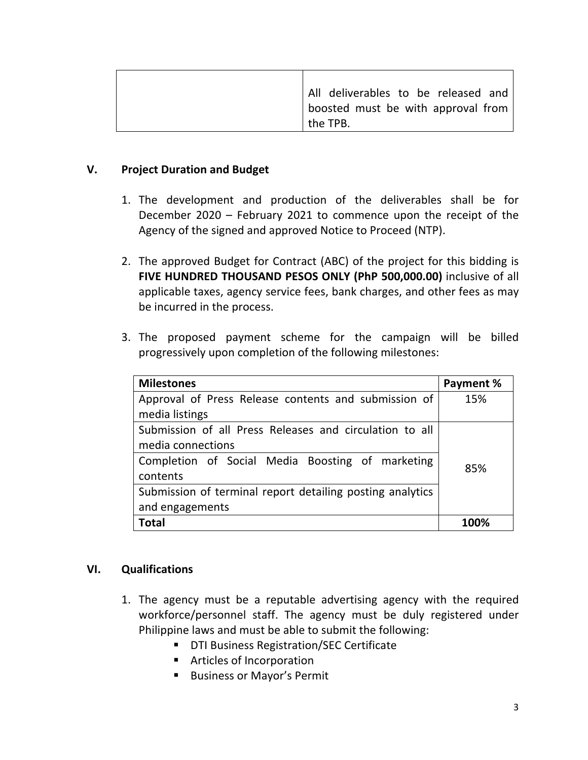| All deliverables to be released and |
|-------------------------------------|
| boosted must be with approval from  |
| the TPB.                            |

### **V. Project Duration and Budget**

- 1. The development and production of the deliverables shall be for December  $2020$  – February 2021 to commence upon the receipt of the Agency of the signed and approved Notice to Proceed (NTP).
- 2. The approved Budget for Contract (ABC) of the project for this bidding is **FIVE HUNDRED THOUSAND PESOS ONLY (PhP 500,000.00)** inclusive of all applicable taxes, agency service fees, bank charges, and other fees as may be incurred in the process.
- 3. The proposed payment scheme for the campaign will be billed progressively upon completion of the following milestones:

| <b>Milestones</b>                                                            | Payment % |
|------------------------------------------------------------------------------|-----------|
| Approval of Press Release contents and submission of                         | 15%       |
| media listings                                                               |           |
| Submission of all Press Releases and circulation to all<br>media connections |           |
| Completion of Social Media Boosting of marketing<br>contents                 | 85%       |
| Submission of terminal report detailing posting analytics                    |           |
| and engagements                                                              |           |
| Total                                                                        |           |

### **VI. Qualifications**

- 1. The agency must be a reputable advertising agency with the required workforce/personnel staff. The agency must be duly registered under Philippine laws and must be able to submit the following:
	- **DTI Business Registration/SEC Certificate**
	- **EXECUTE:** Articles of Incorporation
	- **E.** Business or Mayor's Permit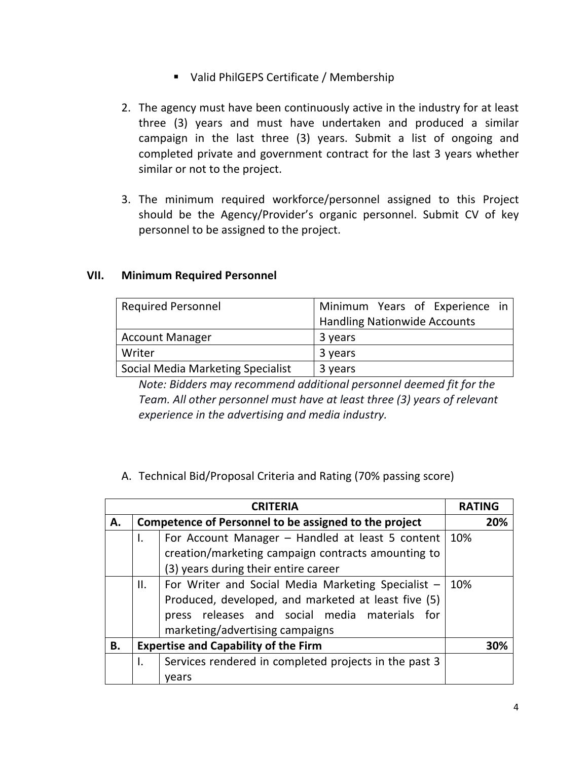- Valid PhilGEPS Certificate / Membership
- 2. The agency must have been continuously active in the industry for at least three (3) years and must have undertaken and produced a similar campaign in the last three (3) years. Submit a list of ongoing and completed private and government contract for the last 3 years whether similar or not to the project.
- 3. The minimum required workforce/personnel assigned to this Project should be the Agency/Provider's organic personnel. Submit CV of key personnel to be assigned to the project.

### **VII. Minimum Required Personnel**

| <b>Required Personnel</b>                | Minimum Years of Experience in      |
|------------------------------------------|-------------------------------------|
|                                          | <b>Handling Nationwide Accounts</b> |
| <b>Account Manager</b>                   | 3 years                             |
| Writer                                   | 3 years                             |
| <b>Social Media Marketing Specialist</b> | 3 years                             |

*Note: Bidders may recommend additional personnel deemed fit for the* Team. All other personnel must have at least three (3) years of relevant *experience in the advertising and media industry.* 

A. Technical Bid/Proposal Criteria and Rating (70% passing score)

| <b>CRITERIA</b>                                   |                                                             |                                                     | <b>RATING</b> |     |
|---------------------------------------------------|-------------------------------------------------------------|-----------------------------------------------------|---------------|-----|
| А.                                                | Competence of Personnel to be assigned to the project       |                                                     |               | 20% |
|                                                   | Ι.                                                          | For Account Manager - Handled at least 5 content    |               |     |
|                                                   |                                                             | creation/marketing campaign contracts amounting to  |               |     |
|                                                   |                                                             | (3) years during their entire career                |               |     |
|                                                   | II.                                                         | For Writer and Social Media Marketing Specialist -  | 10%           |     |
|                                                   |                                                             | Produced, developed, and marketed at least five (5) |               |     |
|                                                   |                                                             | press releases and social media materials for       |               |     |
|                                                   |                                                             | marketing/advertising campaigns                     |               |     |
| <b>Expertise and Capability of the Firm</b><br>В. |                                                             |                                                     | 30%           |     |
|                                                   | Services rendered in completed projects in the past 3<br>I. |                                                     |               |     |
|                                                   | vears                                                       |                                                     |               |     |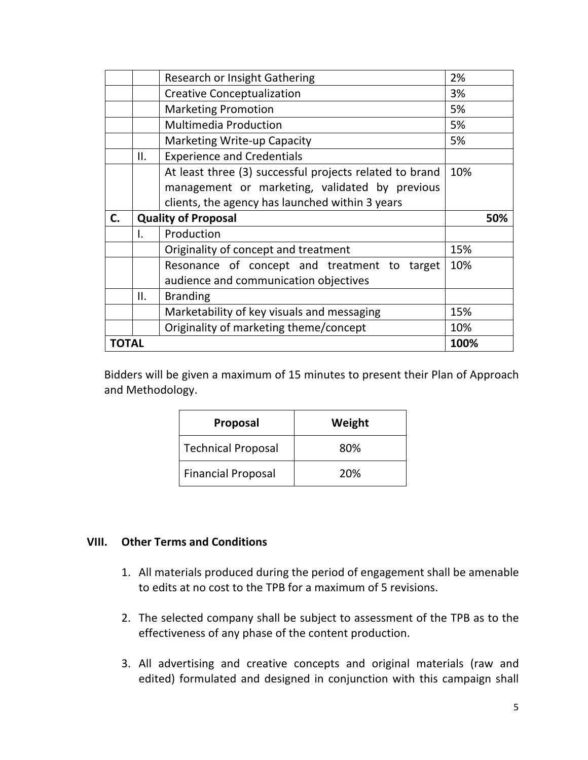|    |     | <b>Research or Insight Gathering</b>                    | 2%  |  |
|----|-----|---------------------------------------------------------|-----|--|
|    |     | <b>Creative Conceptualization</b>                       | 3%  |  |
|    |     | <b>Marketing Promotion</b>                              | 5%  |  |
|    |     | <b>Multimedia Production</b>                            | 5%  |  |
|    |     | <b>Marketing Write-up Capacity</b>                      | 5%  |  |
|    | ΙΙ. | <b>Experience and Credentials</b>                       |     |  |
|    |     | At least three (3) successful projects related to brand | 10% |  |
|    |     | management or marketing, validated by previous          |     |  |
|    |     | clients, the agency has launched within 3 years         |     |  |
|    |     |                                                         |     |  |
| C. |     | <b>Quality of Proposal</b>                              | 50% |  |
|    | I.  | Production                                              |     |  |
|    |     | Originality of concept and treatment                    | 15% |  |
|    |     | Resonance of concept and treatment to<br>target         | 10% |  |
|    |     | audience and communication objectives                   |     |  |
|    | ΙΙ. | <b>Branding</b>                                         |     |  |
|    |     | Marketability of key visuals and messaging              | 15% |  |
|    |     | Originality of marketing theme/concept                  | 10% |  |

Bidders will be given a maximum of 15 minutes to present their Plan of Approach and Methodology.

| Proposal                  | Weight |
|---------------------------|--------|
| Technical Proposal        | 80%    |
| <b>Financial Proposal</b> | 20%    |

### **VIII.** Other Terms and Conditions

- 1. All materials produced during the period of engagement shall be amenable to edits at no cost to the TPB for a maximum of 5 revisions.
- 2. The selected company shall be subject to assessment of the TPB as to the effectiveness of any phase of the content production.
- 3. All advertising and creative concepts and original materials (raw and edited) formulated and designed in conjunction with this campaign shall